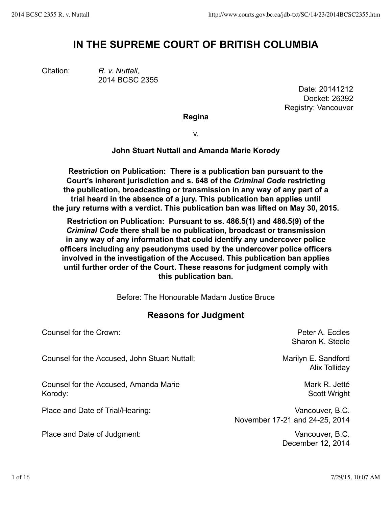# **IN THE SUPREME COURT OF BRITISH COLUMBIA**

Citation: *R. v. Nuttall,* 2014 BCSC 2355

Date: 20141212 Docket: 26392 Registry: Vancouver

**Regina**

v.

## **John Stuart Nuttall and Amanda Marie Korody**

**Restriction on Publication: There is a publication ban pursuant to the Court's inherent jurisdiction and s. 648 of the** *Criminal Code* **restricting the publication, broadcasting or transmission in any way of any part of a trial heard in the absence of a jury. This publication ban applies until the jury returns with a verdict. This publication ban was lifted on May 30, 2015.**

**Restriction on Publication: Pursuant to ss. 486.5(1) and 486.5(9) of the** *Criminal Code* **there shall be no publication, broadcast or transmission in any way of any information that could identify any undercover police officers including any pseudonyms used by the undercover police officers involved in the investigation of the Accused. This publication ban applies until further order of the Court. These reasons for judgment comply with this publication ban.**

Before: The Honourable Madam Justice Bruce

# **Reasons for Judgment**

Counsel for the Crown: Peter A. Eccles Sharon K. Steele Counsel for the Accused, John Stuart Nuttall: Marilyn E. Sandford Alix Tolliday Counsel for the Accused, Amanda Marie Korody: Mark R. Jetté Scott Wright Place and Date of Trial/Hearing: Vancouver, B.C. November 17-21 and 24-25, 2014 Place and Date of Judgment: Vancouver, B.C.

December 12, 2014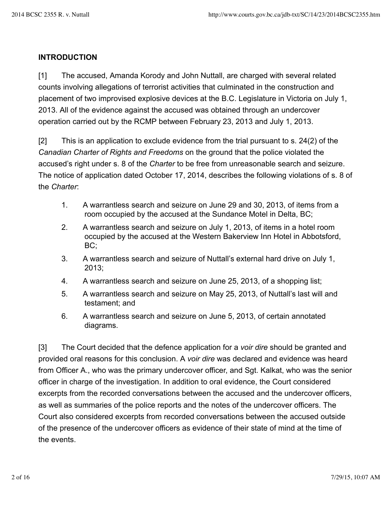#### **INTRODUCTION**

[1] The accused, Amanda Korody and John Nuttall, are charged with several related counts involving allegations of terrorist activities that culminated in the construction and placement of two improvised explosive devices at the B.C. Legislature in Victoria on July 1, 2013. All of the evidence against the accused was obtained through an undercover operation carried out by the RCMP between February 23, 2013 and July 1, 2013.

[2] This is an application to exclude evidence from the trial pursuant to s. 24(2) of the *Canadian Charter of Rights and Freedoms* on the ground that the police violated the accused's right under s. 8 of the *Charter* to be free from unreasonable search and seizure. The notice of application dated October 17, 2014, describes the following violations of s. 8 of the *Charter*:

- 1. A warrantless search and seizure on June 29 and 30, 2013, of items from a room occupied by the accused at the Sundance Motel in Delta, BC;
- 2. A warrantless search and seizure on July 1, 2013, of items in a hotel room occupied by the accused at the Western Bakerview Inn Hotel in Abbotsford, BC;
- 3. A warrantless search and seizure of Nuttall's external hard drive on July 1, 2013;
- 4. A warrantless search and seizure on June 25, 2013, of a shopping list;
- 5. A warrantless search and seizure on May 25, 2013, of Nuttall's last will and testament; and
- 6. A warrantless search and seizure on June 5, 2013, of certain annotated diagrams.

[3] The Court decided that the defence application for a *voir dire* should be granted and provided oral reasons for this conclusion. A *voir dire* was declared and evidence was heard from Officer A., who was the primary undercover officer, and Sgt. Kalkat, who was the senior officer in charge of the investigation. In addition to oral evidence, the Court considered excerpts from the recorded conversations between the accused and the undercover officers, as well as summaries of the police reports and the notes of the undercover officers. The Court also considered excerpts from recorded conversations between the accused outside of the presence of the undercover officers as evidence of their state of mind at the time of the events.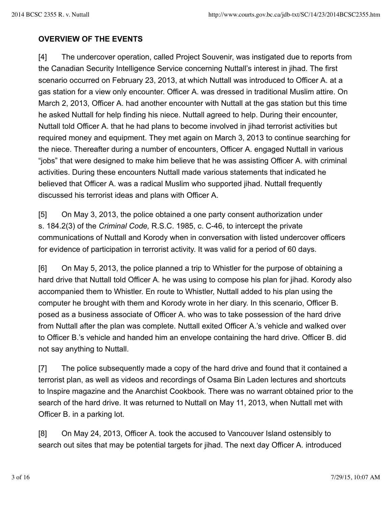## **OVERVIEW OF THE EVENTS**

[4] The undercover operation, called Project Souvenir, was instigated due to reports from the Canadian Security Intelligence Service concerning Nuttall's interest in jihad. The first scenario occurred on February 23, 2013, at which Nuttall was introduced to Officer A. at a gas station for a view only encounter. Officer A. was dressed in traditional Muslim attire. On March 2, 2013, Officer A. had another encounter with Nuttall at the gas station but this time he asked Nuttall for help finding his niece. Nuttall agreed to help. During their encounter, Nuttall told Officer A. that he had plans to become involved in jihad terrorist activities but required money and equipment. They met again on March 3, 2013 to continue searching for the niece. Thereafter during a number of encounters, Officer A. engaged Nuttall in various "jobs" that were designed to make him believe that he was assisting Officer A. with criminal activities. During these encounters Nuttall made various statements that indicated he believed that Officer A. was a radical Muslim who supported jihad. Nuttall frequently discussed his terrorist ideas and plans with Officer A.

[5] On May 3, 2013, the police obtained a one party consent authorization under s. 184.2(3) of the *Criminal Code,* R.S.C. 1985, c. C-46, to intercept the private communications of Nuttall and Korody when in conversation with listed undercover officers for evidence of participation in terrorist activity. It was valid for a period of 60 days.

[6] On May 5, 2013, the police planned a trip to Whistler for the purpose of obtaining a hard drive that Nuttall told Officer A. he was using to compose his plan for jihad. Korody also accompanied them to Whistler. En route to Whistler, Nuttall added to his plan using the computer he brought with them and Korody wrote in her diary. In this scenario, Officer B. posed as a business associate of Officer A. who was to take possession of the hard drive from Nuttall after the plan was complete. Nuttall exited Officer A.'s vehicle and walked over to Officer B.'s vehicle and handed him an envelope containing the hard drive. Officer B. did not say anything to Nuttall.

[7] The police subsequently made a copy of the hard drive and found that it contained a terrorist plan, as well as videos and recordings of Osama Bin Laden lectures and shortcuts to Inspire magazine and the Anarchist Cookbook. There was no warrant obtained prior to the search of the hard drive. It was returned to Nuttall on May 11, 2013, when Nuttall met with Officer B. in a parking lot.

[8] On May 24, 2013, Officer A. took the accused to Vancouver Island ostensibly to search out sites that may be potential targets for jihad. The next day Officer A. introduced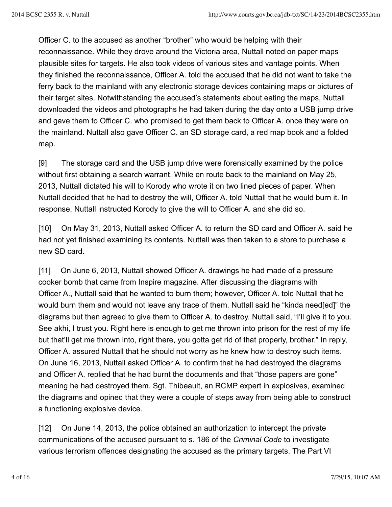Officer C. to the accused as another "brother" who would be helping with their reconnaissance. While they drove around the Victoria area, Nuttall noted on paper maps plausible sites for targets. He also took videos of various sites and vantage points. When they finished the reconnaissance, Officer A. told the accused that he did not want to take the ferry back to the mainland with any electronic storage devices containing maps or pictures of their target sites. Notwithstanding the accused's statements about eating the maps, Nuttall downloaded the videos and photographs he had taken during the day onto a USB jump drive and gave them to Officer C. who promised to get them back to Officer A. once they were on the mainland. Nuttall also gave Officer C. an SD storage card, a red map book and a folded map.

[9] The storage card and the USB jump drive were forensically examined by the police without first obtaining a search warrant. While en route back to the mainland on May 25, 2013, Nuttall dictated his will to Korody who wrote it on two lined pieces of paper. When Nuttall decided that he had to destroy the will, Officer A. told Nuttall that he would burn it. In response, Nuttall instructed Korody to give the will to Officer A. and she did so.

[10] On May 31, 2013, Nuttall asked Officer A. to return the SD card and Officer A. said he had not yet finished examining its contents. Nuttall was then taken to a store to purchase a new SD card.

[11] On June 6, 2013, Nuttall showed Officer A. drawings he had made of a pressure cooker bomb that came from Inspire magazine. After discussing the diagrams with Officer A., Nuttall said that he wanted to burn them; however, Officer A. told Nuttall that he would burn them and would not leave any trace of them. Nuttall said he "kinda need[ed]" the diagrams but then agreed to give them to Officer A. to destroy. Nuttall said, "I'll give it to you. See akhi, I trust you. Right here is enough to get me thrown into prison for the rest of my life but that'll get me thrown into, right there, you gotta get rid of that properly, brother." In reply, Officer A. assured Nuttall that he should not worry as he knew how to destroy such items. On June 16, 2013, Nuttall asked Officer A. to confirm that he had destroyed the diagrams and Officer A. replied that he had burnt the documents and that "those papers are gone" meaning he had destroyed them. Sgt. Thibeault, an RCMP expert in explosives, examined the diagrams and opined that they were a couple of steps away from being able to construct a functioning explosive device.

[12] On June 14, 2013, the police obtained an authorization to intercept the private communications of the accused pursuant to s. 186 of the *Criminal Code* to investigate various terrorism offences designating the accused as the primary targets. The Part VI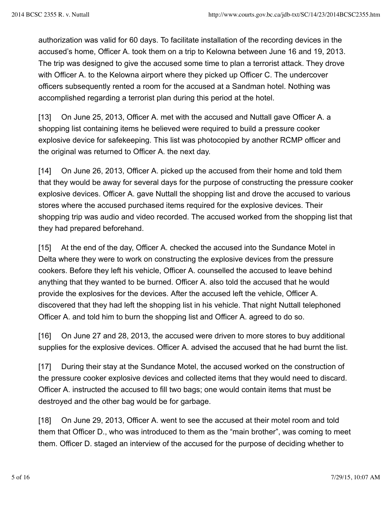authorization was valid for 60 days. To facilitate installation of the recording devices in the accused's home, Officer A. took them on a trip to Kelowna between June 16 and 19, 2013. The trip was designed to give the accused some time to plan a terrorist attack. They drove with Officer A. to the Kelowna airport where they picked up Officer C. The undercover officers subsequently rented a room for the accused at a Sandman hotel. Nothing was accomplished regarding a terrorist plan during this period at the hotel.

[13] On June 25, 2013, Officer A. met with the accused and Nuttall gave Officer A. a shopping list containing items he believed were required to build a pressure cooker explosive device for safekeeping. This list was photocopied by another RCMP officer and the original was returned to Officer A. the next day.

[14] On June 26, 2013, Officer A. picked up the accused from their home and told them that they would be away for several days for the purpose of constructing the pressure cooker explosive devices. Officer A. gave Nuttall the shopping list and drove the accused to various stores where the accused purchased items required for the explosive devices. Their shopping trip was audio and video recorded. The accused worked from the shopping list that they had prepared beforehand.

[15] At the end of the day, Officer A. checked the accused into the Sundance Motel in Delta where they were to work on constructing the explosive devices from the pressure cookers. Before they left his vehicle, Officer A. counselled the accused to leave behind anything that they wanted to be burned. Officer A. also told the accused that he would provide the explosives for the devices. After the accused left the vehicle, Officer A. discovered that they had left the shopping list in his vehicle. That night Nuttall telephoned Officer A. and told him to burn the shopping list and Officer A. agreed to do so.

[16] On June 27 and 28, 2013, the accused were driven to more stores to buy additional supplies for the explosive devices. Officer A. advised the accused that he had burnt the list.

[17] During their stay at the Sundance Motel, the accused worked on the construction of the pressure cooker explosive devices and collected items that they would need to discard. Officer A. instructed the accused to fill two bags; one would contain items that must be destroyed and the other bag would be for garbage.

[18] On June 29, 2013, Officer A. went to see the accused at their motel room and told them that Officer D., who was introduced to them as the "main brother", was coming to meet them. Officer D. staged an interview of the accused for the purpose of deciding whether to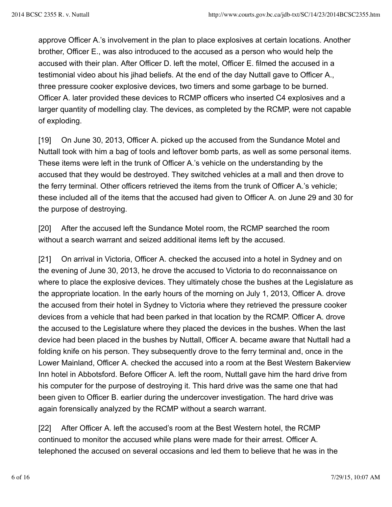approve Officer A.'s involvement in the plan to place explosives at certain locations. Another brother, Officer E., was also introduced to the accused as a person who would help the accused with their plan. After Officer D. left the motel, Officer E. filmed the accused in a testimonial video about his jihad beliefs. At the end of the day Nuttall gave to Officer A., three pressure cooker explosive devices, two timers and some garbage to be burned. Officer A. later provided these devices to RCMP officers who inserted C4 explosives and a larger quantity of modelling clay. The devices, as completed by the RCMP, were not capable of exploding.

[19] On June 30, 2013, Officer A. picked up the accused from the Sundance Motel and Nuttall took with him a bag of tools and leftover bomb parts, as well as some personal items. These items were left in the trunk of Officer A.'s vehicle on the understanding by the accused that they would be destroyed. They switched vehicles at a mall and then drove to the ferry terminal. Other officers retrieved the items from the trunk of Officer A.'s vehicle; these included all of the items that the accused had given to Officer A. on June 29 and 30 for the purpose of destroying.

[20] After the accused left the Sundance Motel room, the RCMP searched the room without a search warrant and seized additional items left by the accused.

[21] On arrival in Victoria, Officer A. checked the accused into a hotel in Sydney and on the evening of June 30, 2013, he drove the accused to Victoria to do reconnaissance on where to place the explosive devices. They ultimately chose the bushes at the Legislature as the appropriate location. In the early hours of the morning on July 1, 2013, Officer A. drove the accused from their hotel in Sydney to Victoria where they retrieved the pressure cooker devices from a vehicle that had been parked in that location by the RCMP. Officer A. drove the accused to the Legislature where they placed the devices in the bushes. When the last device had been placed in the bushes by Nuttall, Officer A. became aware that Nuttall had a folding knife on his person. They subsequently drove to the ferry terminal and, once in the Lower Mainland, Officer A. checked the accused into a room at the Best Western Bakerview Inn hotel in Abbotsford. Before Officer A. left the room, Nuttall gave him the hard drive from his computer for the purpose of destroying it. This hard drive was the same one that had been given to Officer B. earlier during the undercover investigation. The hard drive was again forensically analyzed by the RCMP without a search warrant.

[22] After Officer A. left the accused's room at the Best Western hotel, the RCMP continued to monitor the accused while plans were made for their arrest. Officer A. telephoned the accused on several occasions and led them to believe that he was in the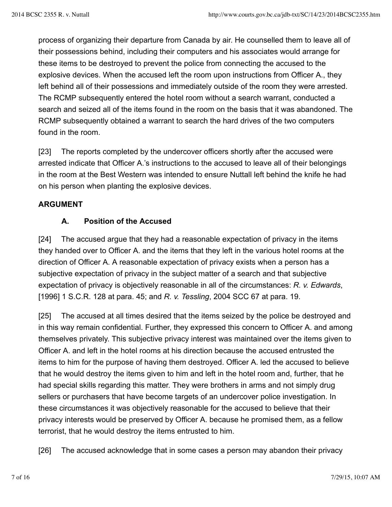process of organizing their departure from Canada by air. He counselled them to leave all of their possessions behind, including their computers and his associates would arrange for these items to be destroyed to prevent the police from connecting the accused to the explosive devices. When the accused left the room upon instructions from Officer A., they left behind all of their possessions and immediately outside of the room they were arrested. The RCMP subsequently entered the hotel room without a search warrant, conducted a search and seized all of the items found in the room on the basis that it was abandoned. The RCMP subsequently obtained a warrant to search the hard drives of the two computers found in the room.

[23] The reports completed by the undercover officers shortly after the accused were arrested indicate that Officer A.'s instructions to the accused to leave all of their belongings in the room at the Best Western was intended to ensure Nuttall left behind the knife he had on his person when planting the explosive devices.

#### **ARGUMENT**

#### **A. Position of the Accused**

[24] The accused argue that they had a reasonable expectation of privacy in the items they handed over to Officer A. and the items that they left in the various hotel rooms at the direction of Officer A. A reasonable expectation of privacy exists when a person has a subjective expectation of privacy in the subject matter of a search and that subjective expectation of privacy is objectively reasonable in all of the circumstances: *R. v. Edwards*, [1996] 1 S.C.R. 128 at para. 45; and *R. v. Tessling*, 2004 SCC 67 at para. 19.

[25] The accused at all times desired that the items seized by the police be destroyed and in this way remain confidential. Further, they expressed this concern to Officer A. and among themselves privately. This subjective privacy interest was maintained over the items given to Officer A. and left in the hotel rooms at his direction because the accused entrusted the items to him for the purpose of having them destroyed. Officer A. led the accused to believe that he would destroy the items given to him and left in the hotel room and, further, that he had special skills regarding this matter. They were brothers in arms and not simply drug sellers or purchasers that have become targets of an undercover police investigation. In these circumstances it was objectively reasonable for the accused to believe that their privacy interests would be preserved by Officer A. because he promised them, as a fellow terrorist, that he would destroy the items entrusted to him.

[26] The accused acknowledge that in some cases a person may abandon their privacy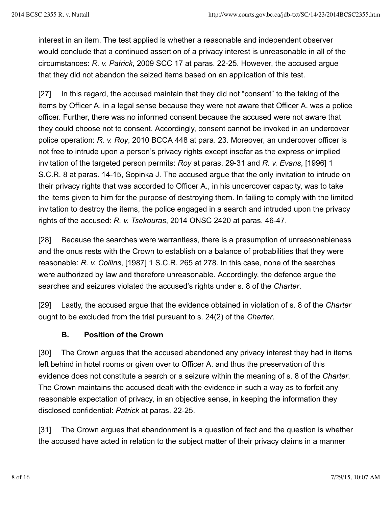interest in an item. The test applied is whether a reasonable and independent observer would conclude that a continued assertion of a privacy interest is unreasonable in all of the circumstances: *R. v. Patrick*, 2009 SCC 17 at paras. 22-25. However, the accused argue that they did not abandon the seized items based on an application of this test.

[27] In this regard, the accused maintain that they did not "consent" to the taking of the items by Officer A. in a legal sense because they were not aware that Officer A. was a police officer. Further, there was no informed consent because the accused were not aware that they could choose not to consent. Accordingly, consent cannot be invoked in an undercover police operation: *R. v. Roy*, 2010 BCCA 448 at para. 23. Moreover, an undercover officer is not free to intrude upon a person's privacy rights except insofar as the express or implied invitation of the targeted person permits: *Roy* at paras. 29-31 and *R. v. Evans*, [1996] 1 S.C.R. 8 at paras. 14-15, Sopinka J. The accused argue that the only invitation to intrude on their privacy rights that was accorded to Officer A., in his undercover capacity, was to take the items given to him for the purpose of destroying them. In failing to comply with the limited invitation to destroy the items, the police engaged in a search and intruded upon the privacy rights of the accused: *R. v. Tsekouras*, 2014 ONSC 2420 at paras. 46-47.

[28] Because the searches were warrantless, there is a presumption of unreasonableness and the onus rests with the Crown to establish on a balance of probabilities that they were reasonable: *R. v. Collins*, [1987] 1 S.C.R. 265 at 278. In this case, none of the searches were authorized by law and therefore unreasonable. Accordingly, the defence argue the searches and seizures violated the accused's rights under s. 8 of the *Charter*.

[29] Lastly, the accused argue that the evidence obtained in violation of s. 8 of the *Charter* ought to be excluded from the trial pursuant to s. 24(2) of the *Charter*.

# **B. Position of the Crown**

[30] The Crown argues that the accused abandoned any privacy interest they had in items left behind in hotel rooms or given over to Officer A. and thus the preservation of this evidence does not constitute a search or a seizure within the meaning of s. 8 of the *Charter*. The Crown maintains the accused dealt with the evidence in such a way as to forfeit any reasonable expectation of privacy, in an objective sense, in keeping the information they disclosed confidential: *Patrick* at paras. 22-25.

[31] The Crown argues that abandonment is a question of fact and the question is whether the accused have acted in relation to the subject matter of their privacy claims in a manner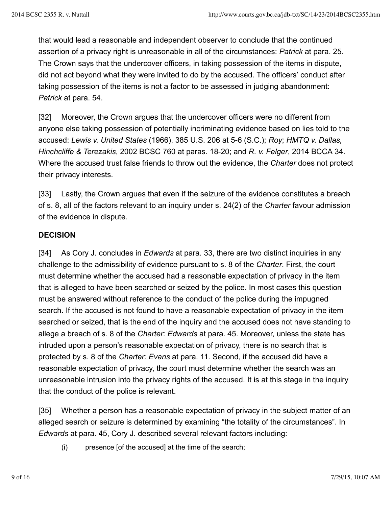that would lead a reasonable and independent observer to conclude that the continued assertion of a privacy right is unreasonable in all of the circumstances: *Patrick* at para. 25. The Crown says that the undercover officers, in taking possession of the items in dispute, did not act beyond what they were invited to do by the accused. The officers' conduct after taking possession of the items is not a factor to be assessed in judging abandonment: *Patrick* at para. 54.

[32] Moreover, the Crown argues that the undercover officers were no different from anyone else taking possession of potentially incriminating evidence based on lies told to the accused: *Lewis v. United States* (1966), 385 U.S. 206 at 5-6 (S.C.); *Roy*; *HMTQ v. Dallas, Hinchcliffe & Terezakis*, 2002 BCSC 760 at paras. 18-20; and *R. v. Felger*, 2014 BCCA 34. Where the accused trust false friends to throw out the evidence, the *Charter* does not protect their privacy interests.

[33] Lastly, the Crown argues that even if the seizure of the evidence constitutes a breach of s. 8, all of the factors relevant to an inquiry under s. 24(2) of the *Charter* favour admission of the evidence in dispute.

#### **DECISION**

[34] As Cory J. concludes in *Edwards* at para. 33, there are two distinct inquiries in any challenge to the admissibility of evidence pursuant to s. 8 of the *Charter*. First, the court must determine whether the accused had a reasonable expectation of privacy in the item that is alleged to have been searched or seized by the police. In most cases this question must be answered without reference to the conduct of the police during the impugned search. If the accused is not found to have a reasonable expectation of privacy in the item searched or seized, that is the end of the inquiry and the accused does not have standing to allege a breach of s. 8 of the *Charter*: *Edwards* at para. 45. Moreover, unless the state has intruded upon a person's reasonable expectation of privacy, there is no search that is protected by s. 8 of the *Charter: Evans* at para. 11. Second, if the accused did have a reasonable expectation of privacy, the court must determine whether the search was an unreasonable intrusion into the privacy rights of the accused. It is at this stage in the inquiry that the conduct of the police is relevant.

[35] Whether a person has a reasonable expectation of privacy in the subject matter of an alleged search or seizure is determined by examining "the totality of the circumstances". In *Edwards* at para. 45, Cory J. described several relevant factors including:

(i) presence [of the accused] at the time of the search;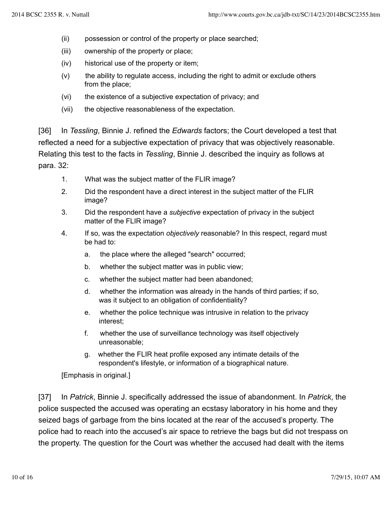- (ii) possession or control of the property or place searched;
- (iii) ownership of the property or place;
- (iv) historical use of the property or item;
- $(v)$  the ability to regulate access, including the right to admit or exclude others from the place;
- (vi) the existence of a subjective expectation of privacy; and
- (vii) the objective reasonableness of the expectation.

[36] In *Tessling*, Binnie J. refined the *Edwards* factors; the Court developed a test that reflected a need for a subjective expectation of privacy that was objectively reasonable. Relating this test to the facts in *Tessling*, Binnie J. described the inquiry as follows at para. 32:

- 1. What was the subject matter of the FLIR image?
- 2. Did the respondent have a direct interest in the subject matter of the FLIR image?
- 3. Did the respondent have a *subjective* expectation of privacy in the subject matter of the FLIR image?
- 4. If so, was the expectation *objectively* reasonable? In this respect, regard must be had to:
	- a. the place where the alleged "search" occurred;
	- b. whether the subject matter was in public view;
	- c. whether the subject matter had been abandoned;
	- d. whether the information was already in the hands of third parties; if so, was it subject to an obligation of confidentiality?
	- e. whether the police technique was intrusive in relation to the privacy interest;
	- f. whether the use of surveillance technology was itself objectively unreasonable;
	- g. whether the FLIR heat profile exposed any intimate details of the respondent's lifestyle, or information of a biographical nature.

[Emphasis in original.]

[37] In *Patrick*, Binnie J. specifically addressed the issue of abandonment. In *Patrick*, the police suspected the accused was operating an ecstasy laboratory in his home and they seized bags of garbage from the bins located at the rear of the accused's property. The police had to reach into the accused's air space to retrieve the bags but did not trespass on the property. The question for the Court was whether the accused had dealt with the items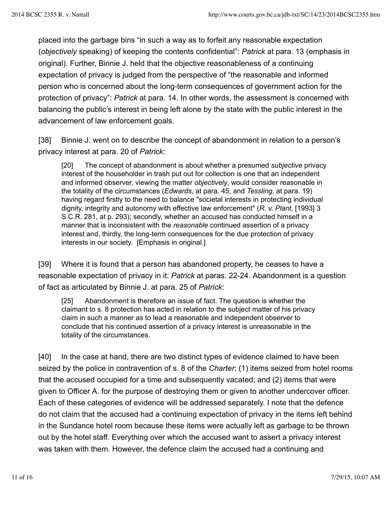placed into the garbage bins "in such a way as to forfeit any reasonable expectation (*objectively* speaking) of keeping the contents confidential": *Patrick* at para. 13 (emphasis in original). Further, Binnie J. held that the objective reasonableness of a continuing expectation of privacy is judged from the perspective of "the reasonable and informed person who is concerned about the long-term consequences of government action for the protection of privacy": *Patrick* at para. 14. In other words, the assessment is concerned with balancing the public's interest in being left alone by the state with the public interest in the advancement of law enforcement goals.

[38] Binnie J. went on to describe the concept of abandonment in relation to a person's privacy interest at para. 20 of *Patrick*:

[20] The concept of abandonment is about whether a presumed *subjective* privacy interest of the householder in trash put out for collection is one that an independent and informed observer, viewing the matter *objectively*, would consider reasonable in the totality of the circumstances (*Edwards*, at para. 45, and *Tessling*, at para. 19) having regard firstly to the need to balance "societal interests in protecting individual dignity, integrity and autonomy with effective law enforcement" (*R. v. Plant*, [1993] 3 S.C.R. 281, at p. 293); secondly, whether an accused has conducted himself in a manner that is inconsistent with the *reasonable* continued assertion of a privacy interest and, thirdly, the long-term consequences for the due protection of privacy interests in our society. [Emphasis in original.]

[39] Where it is found that a person has abandoned property, he ceases to have a reasonable expectation of privacy in it: *Patrick* at paras. 22-24. Abandonment is a question of fact as articulated by Binnie J. at para. 25 of *Patrick*:

[25] Abandonment is therefore an issue of fact. The question is whether the claimant to s. 8 protection has acted in relation to the subject matter of his privacy claim in such a manner as to lead a reasonable and independent observer to conclude that his continued assertion of a privacy interest is unreasonable in the totality of the circumstances.

[40] In the case at hand, there are two distinct types of evidence claimed to have been seized by the police in contravention of s. 8 of the *Charter*: (1) items seized from hotel rooms that the accused occupied for a time and subsequently vacated; and (2) items that were given to Officer A. for the purpose of destroying them or given to another undercover officer. Each of these categories of evidence will be addressed separately. I note that the defence do not claim that the accused had a continuing expectation of privacy in the items left behind in the Sundance hotel room because these items were actually left as garbage to be thrown out by the hotel staff. Everything over which the accused want to assert a privacy interest was taken with them. However, the defence claim the accused had a continuing and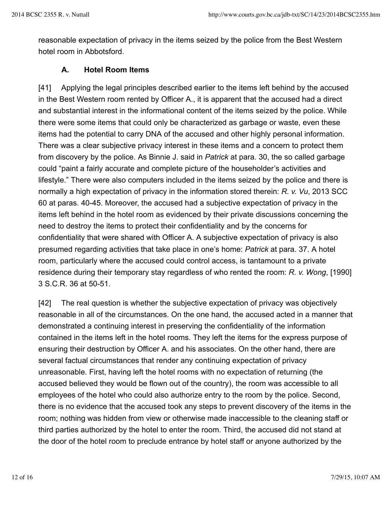reasonable expectation of privacy in the items seized by the police from the Best Western hotel room in Abbotsford.

#### **A. Hotel Room Items**

[41] Applying the legal principles described earlier to the items left behind by the accused in the Best Western room rented by Officer A., it is apparent that the accused had a direct and substantial interest in the informational content of the items seized by the police. While there were some items that could only be characterized as garbage or waste, even these items had the potential to carry DNA of the accused and other highly personal information. There was a clear subjective privacy interest in these items and a concern to protect them from discovery by the police. As Binnie J. said in *Patrick* at para. 30, the so called garbage could "paint a fairly accurate and complete picture of the householder's activities and lifestyle." There were also computers included in the items seized by the police and there is normally a high expectation of privacy in the information stored therein: *R. v. Vu*, 2013 SCC 60 at paras. 40-45. Moreover, the accused had a subjective expectation of privacy in the items left behind in the hotel room as evidenced by their private discussions concerning the need to destroy the items to protect their confidentiality and by the concerns for confidentiality that were shared with Officer A. A subjective expectation of privacy is also presumed regarding activities that take place in one's home: *Patrick* at para. 37. A hotel room, particularly where the accused could control access, is tantamount to a private residence during their temporary stay regardless of who rented the room: *R. v. Wong*, [1990] 3 S.C.R. 36 at 50-51.

[42] The real question is whether the subjective expectation of privacy was objectively reasonable in all of the circumstances. On the one hand, the accused acted in a manner that demonstrated a continuing interest in preserving the confidentiality of the information contained in the items left in the hotel rooms. They left the items for the express purpose of ensuring their destruction by Officer A. and his associates. On the other hand, there are several factual circumstances that render any continuing expectation of privacy unreasonable. First, having left the hotel rooms with no expectation of returning (the accused believed they would be flown out of the country), the room was accessible to all employees of the hotel who could also authorize entry to the room by the police. Second, there is no evidence that the accused took any steps to prevent discovery of the items in the room; nothing was hidden from view or otherwise made inaccessible to the cleaning staff or third parties authorized by the hotel to enter the room. Third, the accused did not stand at the door of the hotel room to preclude entrance by hotel staff or anyone authorized by the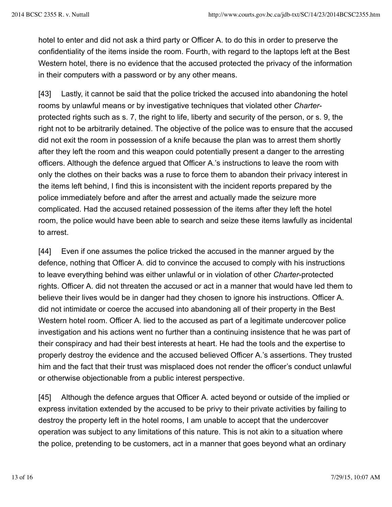hotel to enter and did not ask a third party or Officer A. to do this in order to preserve the confidentiality of the items inside the room. Fourth, with regard to the laptops left at the Best Western hotel, there is no evidence that the accused protected the privacy of the information in their computers with a password or by any other means.

[43] Lastly, it cannot be said that the police tricked the accused into abandoning the hotel rooms by unlawful means or by investigative techniques that violated other *Charter*protected rights such as s. 7, the right to life, liberty and security of the person, or s. 9, the right not to be arbitrarily detained. The objective of the police was to ensure that the accused did not exit the room in possession of a knife because the plan was to arrest them shortly after they left the room and this weapon could potentially present a danger to the arresting officers. Although the defence argued that Officer A.'s instructions to leave the room with only the clothes on their backs was a ruse to force them to abandon their privacy interest in the items left behind, I find this is inconsistent with the incident reports prepared by the police immediately before and after the arrest and actually made the seizure more complicated. Had the accused retained possession of the items after they left the hotel room, the police would have been able to search and seize these items lawfully as incidental to arrest.

[44] Even if one assumes the police tricked the accused in the manner argued by the defence, nothing that Officer A. did to convince the accused to comply with his instructions to leave everything behind was either unlawful or in violation of other *Charter*-protected rights. Officer A. did not threaten the accused or act in a manner that would have led them to believe their lives would be in danger had they chosen to ignore his instructions. Officer A. did not intimidate or coerce the accused into abandoning all of their property in the Best Western hotel room. Officer A. lied to the accused as part of a legitimate undercover police investigation and his actions went no further than a continuing insistence that he was part of their conspiracy and had their best interests at heart. He had the tools and the expertise to properly destroy the evidence and the accused believed Officer A.'s assertions. They trusted him and the fact that their trust was misplaced does not render the officer's conduct unlawful or otherwise objectionable from a public interest perspective.

[45] Although the defence argues that Officer A. acted beyond or outside of the implied or express invitation extended by the accused to be privy to their private activities by failing to destroy the property left in the hotel rooms, I am unable to accept that the undercover operation was subject to any limitations of this nature. This is not akin to a situation where the police, pretending to be customers, act in a manner that goes beyond what an ordinary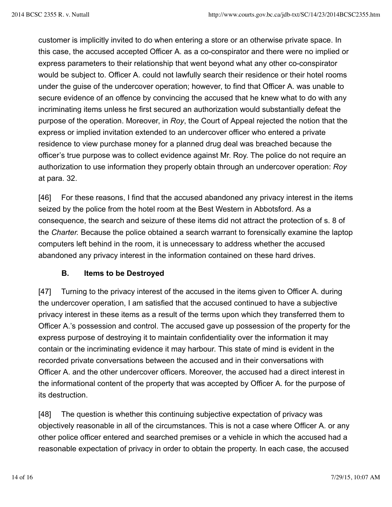customer is implicitly invited to do when entering a store or an otherwise private space. In this case, the accused accepted Officer A. as a co-conspirator and there were no implied or express parameters to their relationship that went beyond what any other co-conspirator would be subject to. Officer A. could not lawfully search their residence or their hotel rooms under the guise of the undercover operation; however, to find that Officer A. was unable to secure evidence of an offence by convincing the accused that he knew what to do with any incriminating items unless he first secured an authorization would substantially defeat the purpose of the operation. Moreover, in *Roy*, the Court of Appeal rejected the notion that the express or implied invitation extended to an undercover officer who entered a private residence to view purchase money for a planned drug deal was breached because the officer's true purpose was to collect evidence against Mr. Roy. The police do not require an authorization to use information they properly obtain through an undercover operation: *Roy* at para. 32.

[46] For these reasons, I find that the accused abandoned any privacy interest in the items seized by the police from the hotel room at the Best Western in Abbotsford. As a consequence, the search and seizure of these items did not attract the protection of s. 8 of the *Charter.* Because the police obtained a search warrant to forensically examine the laptop computers left behind in the room, it is unnecessary to address whether the accused abandoned any privacy interest in the information contained on these hard drives.

# **B. Items to be Destroyed**

[47] Turning to the privacy interest of the accused in the items given to Officer A. during the undercover operation, I am satisfied that the accused continued to have a subjective privacy interest in these items as a result of the terms upon which they transferred them to Officer A.'s possession and control. The accused gave up possession of the property for the express purpose of destroying it to maintain confidentiality over the information it may contain or the incriminating evidence it may harbour. This state of mind is evident in the recorded private conversations between the accused and in their conversations with Officer A. and the other undercover officers. Moreover, the accused had a direct interest in the informational content of the property that was accepted by Officer A. for the purpose of its destruction.

[48] The question is whether this continuing subjective expectation of privacy was objectively reasonable in all of the circumstances. This is not a case where Officer A. or any other police officer entered and searched premises or a vehicle in which the accused had a reasonable expectation of privacy in order to obtain the property. In each case, the accused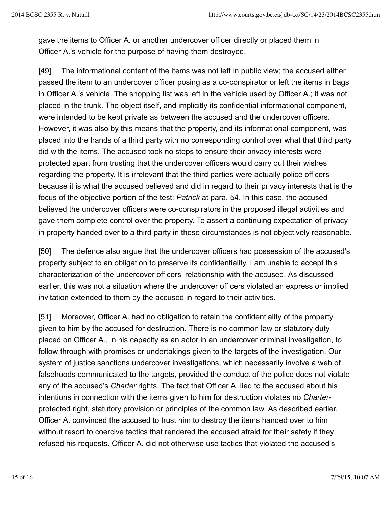gave the items to Officer A. or another undercover officer directly or placed them in Officer A.'s vehicle for the purpose of having them destroyed.

[49] The informational content of the items was not left in public view; the accused either passed the item to an undercover officer posing as a co-conspirator or left the items in bags in Officer A.'s vehicle. The shopping list was left in the vehicle used by Officer A.; it was not placed in the trunk. The object itself, and implicitly its confidential informational component, were intended to be kept private as between the accused and the undercover officers. However, it was also by this means that the property, and its informational component, was placed into the hands of a third party with no corresponding control over what that third party did with the items. The accused took no steps to ensure their privacy interests were protected apart from trusting that the undercover officers would carry out their wishes regarding the property. It is irrelevant that the third parties were actually police officers because it is what the accused believed and did in regard to their privacy interests that is the focus of the objective portion of the test: *Patrick* at para. 54. In this case, the accused believed the undercover officers were co-conspirators in the proposed illegal activities and gave them complete control over the property. To assert a continuing expectation of privacy in property handed over to a third party in these circumstances is not objectively reasonable.

[50] The defence also argue that the undercover officers had possession of the accused's property subject to an obligation to preserve its confidentiality. I am unable to accept this characterization of the undercover officers' relationship with the accused. As discussed earlier, this was not a situation where the undercover officers violated an express or implied invitation extended to them by the accused in regard to their activities.

[51] Moreover, Officer A. had no obligation to retain the confidentiality of the property given to him by the accused for destruction. There is no common law or statutory duty placed on Officer A., in his capacity as an actor in an undercover criminal investigation, to follow through with promises or undertakings given to the targets of the investigation. Our system of justice sanctions undercover investigations, which necessarily involve a web of falsehoods communicated to the targets, provided the conduct of the police does not violate any of the accused's *Charter* rights. The fact that Officer A. lied to the accused about his intentions in connection with the items given to him for destruction violates no *Charter*protected right, statutory provision or principles of the common law. As described earlier, Officer A. convinced the accused to trust him to destroy the items handed over to him without resort to coercive tactics that rendered the accused afraid for their safety if they refused his requests. Officer A. did not otherwise use tactics that violated the accused's